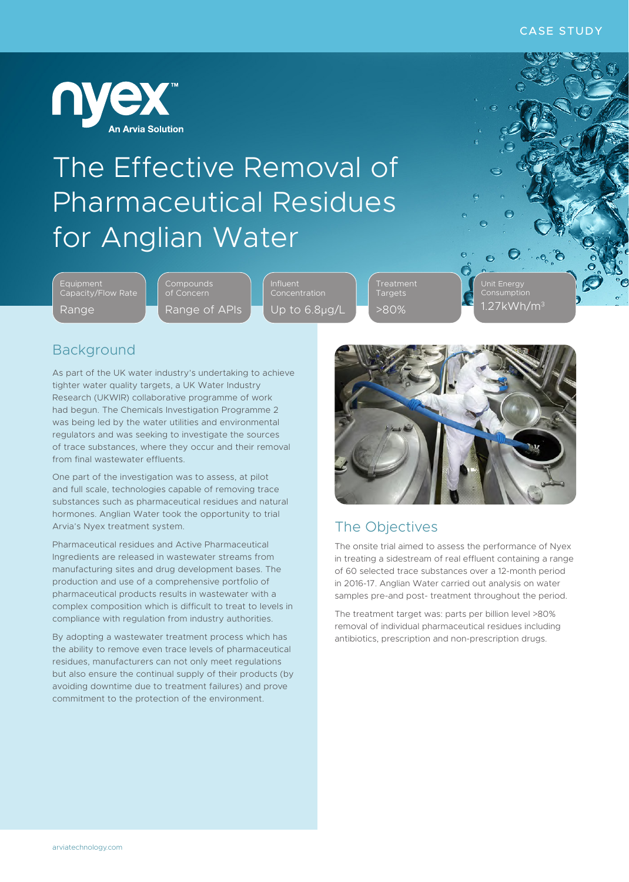

## The Effective Removal of Pharmaceutical Residues for Anglian Water

Equipment Capacity/Flow Rate Range

**Compounds** of Concern Range of APIs Influent Concentration Up to 6.8µg/L

Targets >80% Unit Energy Consumption  $27$ kWh/m<sup>3</sup>

 $\bullet$ 

 $\mathcal{E}$  .  $\mathbf{e}$ 

#### Background

As part of the UK water industry's undertaking to achieve tighter water quality targets, a UK Water Industry Research (UKWIR) collaborative programme of work had begun. The Chemicals Investigation Programme 2 was being led by the water utilities and environmental regulators and was seeking to investigate the sources of trace substances, where they occur and their removal from final wastewater effluents.

One part of the investigation was to assess, at pilot and full scale, technologies capable of removing trace substances such as pharmaceutical residues and natural hormones. Anglian Water took the opportunity to trial Arvia's Nyex treatment system.

Pharmaceutical residues and Active Pharmaceutical Ingredients are released in wastewater streams from manufacturing sites and drug development bases. The production and use of a comprehensive portfolio of pharmaceutical products results in wastewater with a complex composition which is difficult to treat to levels in compliance with regulation from industry authorities.

By adopting a wastewater treatment process which has the ability to remove even trace levels of pharmaceutical residues, manufacturers can not only meet regulations but also ensure the continual supply of their products (by avoiding downtime due to treatment failures) and prove commitment to the protection of the environment.



### The Objectives

The onsite trial aimed to assess the performance of Nyex in treating a sidestream of real effluent containing a range of 60 selected trace substances over a 12-month period in 2016-17. Anglian Water carried out analysis on water samples pre-and post- treatment throughout the period.

The treatment target was: parts per billion level >80% removal of individual pharmaceutical residues including antibiotics, prescription and non-prescription drugs.